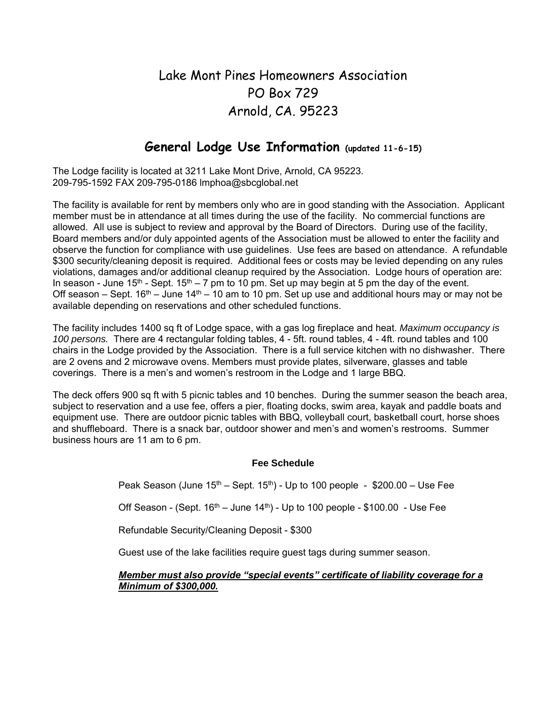### Lake Mont Pines Homeowners Association PO Box 729 Arnold, CA. 95223

#### **General Lodge Use Information (updated 11-6-15)**

The Lodge facility is located at 3211 Lake Mont Drive, Arnold, CA 95223. 209-795-1592 FAX 209-795-0186 lmphoa@sbcglobal.net

The facility is available for rent by members only who are in good standing with the Association. Applicant member must be in attendance at all times during the use of the facility. No commercial functions are allowed. All use is subject to review and approval by the Board of Directors. During use of the facility, Board members and/or duly appointed agents of the Association must be allowed to enter the facility and observe the function for compliance with use guidelines. Use fees are based on attendance. A refundable \$300 security/cleaning deposit is required. Additional fees or costs may be levied depending on any rules violations, damages and/or additional cleanup required by the Association. Lodge hours of operation are: In season - June  $15<sup>th</sup>$  - Sept.  $15<sup>th</sup>$  – 7 pm to 10 pm. Set up may begin at 5 pm the day of the event. Off season – Sept.  $16<sup>th</sup>$  – June  $14<sup>th</sup>$  – 10 am to 10 pm. Set up use and additional hours may or may not be available depending on reservations and other scheduled functions.

The facility includes 1400 sq ft of Lodge space, with a gas log fireplace and heat. *Maximum occupancy is 100 persons.* There are 4 rectangular folding tables, 4 - 5ft. round tables, 4 - 4ft. round tables and 100 chairs in the Lodge provided by the Association. There is a full service kitchen with no dishwasher. There are 2 ovens and 2 microwave ovens. Members must provide plates, silverware, glasses and table coverings. There is a men's and women's restroom in the Lodge and 1 large BBQ.

The deck offers 900 sq ft with 5 picnic tables and 10 benches. During the summer season the beach area, subject to reservation and a use fee, offers a pier, floating docks, swim area, kayak and paddle boats and equipment use. There are outdoor picnic tables with BBQ, volleyball court, basketball court, horse shoes and shuffleboard. There is a snack bar, outdoor shower and men's and women's restrooms. Summer business hours are 11 am to 6 pm.

#### **Fee Schedule**

Peak Season (June  $15<sup>th</sup>$  – Sept. 15<sup>th</sup>) - Up to 100 people - \$200.00 – Use Fee

Off Season - (Sept.  $16<sup>th</sup>$  – June  $14<sup>th</sup>$ ) - Up to 100 people - \$100.00 - Use Fee

Refundable Security/Cleaning Deposit - \$300

Guest use of the lake facilities require guest tags during summer season.

#### *Member must also provide "special events" certificate of liability coverage for a Minimum of \$300,000.*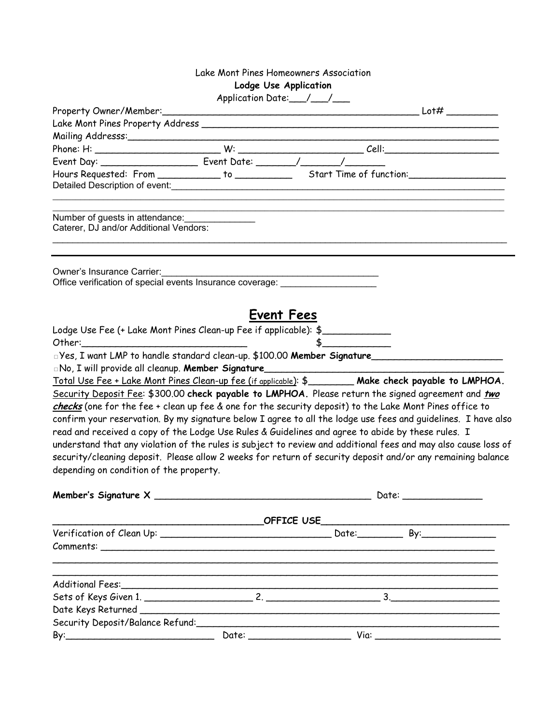|                                                                                                                                                                                                                                                                                                                                                        | Lake Mont Pines Homeowners Association                                                                                                                                                                                                                                                                                                                                                                                                                                                                                                                                                                                                                               |
|--------------------------------------------------------------------------------------------------------------------------------------------------------------------------------------------------------------------------------------------------------------------------------------------------------------------------------------------------------|----------------------------------------------------------------------------------------------------------------------------------------------------------------------------------------------------------------------------------------------------------------------------------------------------------------------------------------------------------------------------------------------------------------------------------------------------------------------------------------------------------------------------------------------------------------------------------------------------------------------------------------------------------------------|
|                                                                                                                                                                                                                                                                                                                                                        | Lodge Use Application                                                                                                                                                                                                                                                                                                                                                                                                                                                                                                                                                                                                                                                |
|                                                                                                                                                                                                                                                                                                                                                        | Application Date: /__/___                                                                                                                                                                                                                                                                                                                                                                                                                                                                                                                                                                                                                                            |
|                                                                                                                                                                                                                                                                                                                                                        |                                                                                                                                                                                                                                                                                                                                                                                                                                                                                                                                                                                                                                                                      |
|                                                                                                                                                                                                                                                                                                                                                        |                                                                                                                                                                                                                                                                                                                                                                                                                                                                                                                                                                                                                                                                      |
|                                                                                                                                                                                                                                                                                                                                                        | Mailing Addresss: and a manufacturer and a manufacturer and a manufacturer and a manufacturer and a manufactur                                                                                                                                                                                                                                                                                                                                                                                                                                                                                                                                                       |
|                                                                                                                                                                                                                                                                                                                                                        |                                                                                                                                                                                                                                                                                                                                                                                                                                                                                                                                                                                                                                                                      |
|                                                                                                                                                                                                                                                                                                                                                        | Event Day: ____________________________ Event Date: ________/ _______/ __________<br>Hours Requested: From ______________ to ________________Start Time of function:_______________________________                                                                                                                                                                                                                                                                                                                                                                                                                                                                  |
|                                                                                                                                                                                                                                                                                                                                                        |                                                                                                                                                                                                                                                                                                                                                                                                                                                                                                                                                                                                                                                                      |
| Number of guests in attendance: _______________<br>Caterer, DJ and/or Additional Vendors:                                                                                                                                                                                                                                                              |                                                                                                                                                                                                                                                                                                                                                                                                                                                                                                                                                                                                                                                                      |
| Owner's Insurance Carrier:<br>Office verification of special events Insurance coverage: ______________________                                                                                                                                                                                                                                         |                                                                                                                                                                                                                                                                                                                                                                                                                                                                                                                                                                                                                                                                      |
| Lodge Use Fee (+ Lake Mont Pines Clean-up Fee if applicable): \$<br>Other: will be a contract of the contract of the contract of the contract of the contract of the contract of the contract of the contract of the contract of the contract of the contract of the contract of the contract of t<br>No, I will provide all cleanup. Member Signature | <b>Event Fees</b><br>Signature 1 MP to handle standard clean-up. \$100.00 Member Signature<br>Total Use Fee + Lake Mont Pines Clean-up fee (if applicable): \$_________ Make check payable to LMPHOA.                                                                                                                                                                                                                                                                                                                                                                                                                                                                |
| depending on condition of the property.                                                                                                                                                                                                                                                                                                                | Security Deposit Fee: \$300.00 check payable to LMPHOA. Please return the signed agreement and two<br>checks (one for the fee + clean up fee & one for the security deposit) to the Lake Mont Pines office to<br>confirm your reservation. By my signature below I agree to all the lodge use fees and guidelines. I have also<br>read and received a copy of the Lodge Use Rules & Guidelines and agree to abide by these rules. I<br>understand that any violation of the rules is subject to review and additional fees and may also cause loss of<br>security/cleaning deposit. Please allow 2 weeks for return of security deposit and/or any remaining balance |
|                                                                                                                                                                                                                                                                                                                                                        |                                                                                                                                                                                                                                                                                                                                                                                                                                                                                                                                                                                                                                                                      |
|                                                                                                                                                                                                                                                                                                                                                        |                                                                                                                                                                                                                                                                                                                                                                                                                                                                                                                                                                                                                                                                      |
|                                                                                                                                                                                                                                                                                                                                                        |                                                                                                                                                                                                                                                                                                                                                                                                                                                                                                                                                                                                                                                                      |
|                                                                                                                                                                                                                                                                                                                                                        |                                                                                                                                                                                                                                                                                                                                                                                                                                                                                                                                                                                                                                                                      |
|                                                                                                                                                                                                                                                                                                                                                        |                                                                                                                                                                                                                                                                                                                                                                                                                                                                                                                                                                                                                                                                      |
|                                                                                                                                                                                                                                                                                                                                                        |                                                                                                                                                                                                                                                                                                                                                                                                                                                                                                                                                                                                                                                                      |
|                                                                                                                                                                                                                                                                                                                                                        |                                                                                                                                                                                                                                                                                                                                                                                                                                                                                                                                                                                                                                                                      |
|                                                                                                                                                                                                                                                                                                                                                        |                                                                                                                                                                                                                                                                                                                                                                                                                                                                                                                                                                                                                                                                      |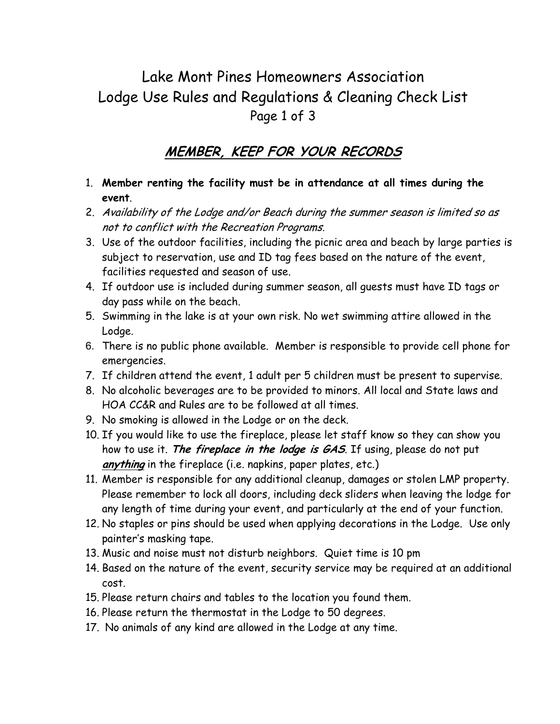# Lake Mont Pines Homeowners Association Lodge Use Rules and Regulations & Cleaning Check List Page 1 of 3

### **MEMBER, KEEP FOR YOUR RECORDS**

- 1. **Member renting the facility must be in attendance at all times during the event**.
- 2. Availability of the Lodge and/or Beach during the summer season is limited so as not to conflict with the Recreation Programs.
- 3. Use of the outdoor facilities, including the picnic area and beach by large parties is subject to reservation, use and ID tag fees based on the nature of the event, facilities requested and season of use.
- 4. If outdoor use is included during summer season, all guests must have ID tags or day pass while on the beach.
- 5. Swimming in the lake is at your own risk. No wet swimming attire allowed in the Lodge.
- 6. There is no public phone available. Member is responsible to provide cell phone for emergencies.
- 7. If children attend the event, 1 adult per 5 children must be present to supervise.
- 8. No alcoholic beverages are to be provided to minors. All local and State laws and HOA CC&R and Rules are to be followed at all times.
- 9. No smoking is allowed in the Lodge or on the deck.
- 10. If you would like to use the fireplace, please let staff know so they can show you how to use it. **The fireplace in the lodge is GAS**. If using, please do not put **anything** in the fireplace (i.e. napkins, paper plates, etc.)
- 11. Member is responsible for any additional cleanup, damages or stolen LMP property. Please remember to lock all doors, including deck sliders when leaving the lodge for any length of time during your event, and particularly at the end of your function.
- 12. No staples or pins should be used when applying decorations in the Lodge. Use only painter's masking tape.
- 13. Music and noise must not disturb neighbors. Quiet time is 10 pm
- 14. Based on the nature of the event, security service may be required at an additional cost.
- 15. Please return chairs and tables to the location you found them.
- 16. Please return the thermostat in the Lodge to 50 degrees.
- 17. No animals of any kind are allowed in the Lodge at any time.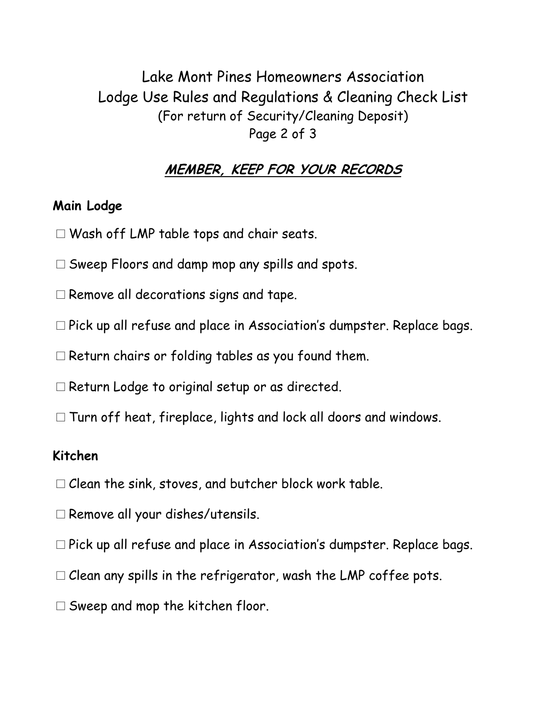Lake Mont Pines Homeowners Association Lodge Use Rules and Regulations & Cleaning Check List (For return of Security/Cleaning Deposit) Page 2 of 3

#### **MEMBER, KEEP FOR YOUR RECORDS**

#### **Main Lodge**

- □Wash off LMP table tops and chair seats.
- $\square$  Sweep Floors and damp mop any spills and spots.
- $\square$  Remove all decorations signs and tape.
- □Pick up all refuse and place in Association's dumpster. Replace bags.
- $\square$  Return chairs or folding tables as you found them.
- □ Return Lodge to original setup or as directed.
- $\square$  Turn off heat, fireplace, lights and lock all doors and windows.

#### **Kitchen**

- $\Box$  Clean the sink, stoves, and butcher block work table.
- □Remove all your dishes/utensils.
- □Pick up all refuse and place in Association's dumpster. Replace bags.
- $\Box$  Clean any spills in the refrigerator, wash the LMP coffee pots.
- $\square$  Sweep and mop the kitchen floor.